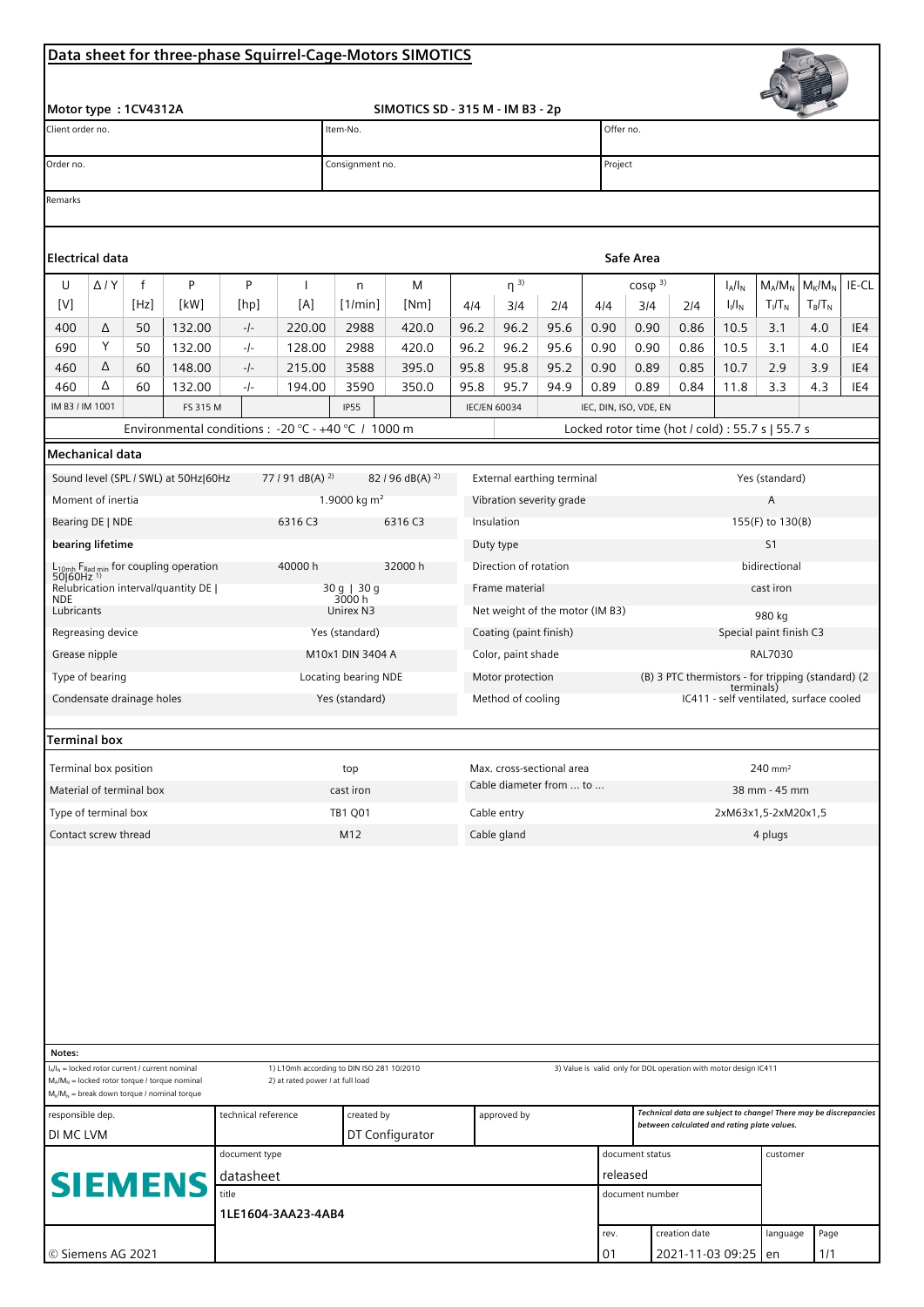## Data sheet for three-phase Squirrel-Cage-Motors SIMOTICS

| Motor type: 1CV4312A<br>SIMOTICS SD - 315 M - IM B3 - 2p                                                                                                                                                                                                                                                      |              |      |                                      |                                 |                             |                                                                              |         |                     |                                        |      |         |                                                                                                                 |                        |           |               |           |       |  |  |
|---------------------------------------------------------------------------------------------------------------------------------------------------------------------------------------------------------------------------------------------------------------------------------------------------------------|--------------|------|--------------------------------------|---------------------------------|-----------------------------|------------------------------------------------------------------------------|---------|---------------------|----------------------------------------|------|---------|-----------------------------------------------------------------------------------------------------------------|------------------------|-----------|---------------|-----------|-------|--|--|
| Client order no.                                                                                                                                                                                                                                                                                              |              |      |                                      |                                 |                             | Offer no.<br>Item-No.                                                        |         |                     |                                        |      |         |                                                                                                                 |                        |           |               |           |       |  |  |
| Order no.                                                                                                                                                                                                                                                                                                     |              |      |                                      |                                 |                             | Consignment no.                                                              |         |                     |                                        |      |         | Project                                                                                                         |                        |           |               |           |       |  |  |
| Remarks                                                                                                                                                                                                                                                                                                       |              |      |                                      |                                 |                             |                                                                              |         |                     |                                        |      |         |                                                                                                                 |                        |           |               |           |       |  |  |
| <b>Electrical data</b>                                                                                                                                                                                                                                                                                        |              |      |                                      |                                 |                             |                                                                              |         |                     |                                        |      |         | Safe Area                                                                                                       |                        |           |               |           |       |  |  |
| U                                                                                                                                                                                                                                                                                                             | $\Delta$ / Y | f    | P                                    | P                               | $\mathbf{I}$                | n                                                                            | M       |                     | $\eta^{3}$                             |      |         | $cos\phi$ <sup>3)</sup>                                                                                         |                        | $I_A/I_N$ | $M_A/M_N$     | $M_K/M_N$ | IE-CL |  |  |
| [V]                                                                                                                                                                                                                                                                                                           |              | [Hz] | [kW]                                 | [hp]                            | [A]                         | [1/min]                                                                      | [Nm]    | 4/4                 | 3/4                                    | 2/4  | 4/4     | 3/4                                                                                                             | 2/4                    | $I_1/I_N$ | $T_I/T_N$     | $T_B/T_N$ |       |  |  |
| 400                                                                                                                                                                                                                                                                                                           | Δ            | 50   | 132.00                               | $-/-$                           | 220.00                      | 2988                                                                         | 420.0   | 96.2                | 96.2                                   | 95.6 | 0.90    | 0.90                                                                                                            | 0.86                   | 10.5      | 3.1           | 4.0       | IE4   |  |  |
| 690                                                                                                                                                                                                                                                                                                           | Υ            | 50   | 132.00                               | -/-                             | 128.00                      | 2988                                                                         | 420.0   | 96.2                | 96.2                                   | 95.6 | 0.90    | 0.90                                                                                                            | 0.86                   | 10.5      | 3.1           | 4.0       | IE4   |  |  |
| 460                                                                                                                                                                                                                                                                                                           | Δ            | 60   | 148.00                               | $-/-$                           | 215.00                      | 3588                                                                         | 395.0   | 95.8                | 95.8                                   | 95.2 | 0.90    | 0.89                                                                                                            | 0.85                   | 10.7      | 2.9           | 3.9       | IE4   |  |  |
| 460                                                                                                                                                                                                                                                                                                           | Δ            | 60   | 132.00                               | -/-                             | 194.00                      | 3590                                                                         | 350.0   | 95.8                | 95.7                                   | 94.9 | 0.89    | 0.89                                                                                                            | 0.84                   | 11.8      | 3.3           | 4.3       | IE4   |  |  |
| IM B3 / IM 1001                                                                                                                                                                                                                                                                                               |              |      | FS 315 M                             |                                 |                             | <b>IP55</b>                                                                  |         | <b>IEC/EN 60034</b> |                                        |      |         |                                                                                                                 | IEC, DIN, ISO, VDE, EN |           |               |           |       |  |  |
| Environmental conditions : - 20 °C - +40 °C / 1000 m<br>Locked rotor time (hot / cold) : 55.7 s   55.7 s<br><b>Mechanical data</b>                                                                                                                                                                            |              |      |                                      |                                 |                             |                                                                              |         |                     |                                        |      |         |                                                                                                                 |                        |           |               |           |       |  |  |
|                                                                                                                                                                                                                                                                                                               |              |      |                                      |                                 | 77 / 91 dB(A) <sup>2)</sup> |                                                                              |         |                     |                                        |      |         |                                                                                                                 |                        |           |               |           |       |  |  |
|                                                                                                                                                                                                                                                                                                               |              |      | Sound level (SPL / SWL) at 50Hz 60Hz |                                 |                             | 82 / 96 dB(A) <sup>2)</sup><br>External earthing terminal<br>1.9000 kg $m^2$ |         |                     |                                        |      |         | Yes (standard)<br>A                                                                                             |                        |           |               |           |       |  |  |
| Moment of inertia<br>6316 C3                                                                                                                                                                                                                                                                                  |              |      |                                      |                                 |                             |                                                                              | 6316 C3 |                     | Vibration severity grade<br>Insulation |      |         |                                                                                                                 | 155(F) to 130(B)       |           |               |           |       |  |  |
| Bearing DE   NDE                                                                                                                                                                                                                                                                                              |              |      |                                      |                                 |                             |                                                                              |         |                     |                                        |      |         | S1                                                                                                              |                        |           |               |           |       |  |  |
| bearing lifetime                                                                                                                                                                                                                                                                                              |              |      |                                      |                                 |                             | Duty type                                                                    |         |                     |                                        |      |         | bidirectional                                                                                                   |                        |           |               |           |       |  |  |
| 40000 h<br>L <sub>10mh</sub> F <sub>Rad min</sub> for coupling operation<br>50 60Hz <sup>1)</sup>                                                                                                                                                                                                             |              |      |                                      |                                 |                             |                                                                              | 32000 h |                     | Direction of rotation                  |      |         |                                                                                                                 |                        |           |               |           |       |  |  |
| Relubrication interval/quantity DE  <br><b>NDE</b>                                                                                                                                                                                                                                                            |              |      |                                      |                                 |                             | 30 g   30 g<br>3000 h<br>Frame material                                      |         |                     |                                        |      |         | cast iron                                                                                                       |                        |           |               |           |       |  |  |
| Lubricants                                                                                                                                                                                                                                                                                                    |              |      |                                      |                                 |                             | Unirex N3<br>Net weight of the motor (IM B3)                                 |         |                     |                                        |      |         | 980 kg<br>Special paint finish C3                                                                               |                        |           |               |           |       |  |  |
| Regreasing device                                                                                                                                                                                                                                                                                             |              |      |                                      |                                 |                             | Yes (standard)<br>Coating (paint finish)<br>Color, paint shade               |         |                     |                                        |      |         |                                                                                                                 |                        |           |               |           |       |  |  |
| Grease nipple                                                                                                                                                                                                                                                                                                 |              |      |                                      |                                 |                             | M10x1 DIN 3404 A                                                             |         |                     |                                        |      | RAL7030 |                                                                                                                 |                        |           |               |           |       |  |  |
| Type of bearing                                                                                                                                                                                                                                                                                               |              |      |                                      |                                 |                             | Locating bearing NDE                                                         |         |                     | Motor protection                       |      |         | (B) 3 PTC thermistors - for tripping (standard) (2<br>terminals)<br>IC411 - self ventilated, surface cooled     |                        |           |               |           |       |  |  |
| Condensate drainage holes                                                                                                                                                                                                                                                                                     |              |      |                                      |                                 |                             | Yes (standard)<br>Method of cooling                                          |         |                     |                                        |      |         |                                                                                                                 |                        |           |               |           |       |  |  |
| Terminal box                                                                                                                                                                                                                                                                                                  |              |      |                                      |                                 |                             |                                                                              |         |                     |                                        |      |         |                                                                                                                 |                        |           |               |           |       |  |  |
| Terminal box position                                                                                                                                                                                                                                                                                         |              |      |                                      |                                 |                             | top                                                                          |         |                     | Max. cross-sectional area              |      |         |                                                                                                                 | 240 mm <sup>2</sup>    |           |               |           |       |  |  |
| Material of terminal box                                                                                                                                                                                                                                                                                      |              |      |                                      |                                 |                             | Cable diameter from  to<br>cast iron                                         |         |                     |                                        |      |         |                                                                                                                 |                        |           | 38 mm - 45 mm |           |       |  |  |
| Type of terminal box                                                                                                                                                                                                                                                                                          |              |      |                                      |                                 |                             | <b>TB1 Q01</b><br>Cable entry                                                |         |                     |                                        |      |         | 2xM63x1,5-2xM20x1,5                                                                                             |                        |           |               |           |       |  |  |
| Contact screw thread                                                                                                                                                                                                                                                                                          |              |      |                                      |                                 |                             | M12<br>Cable gland                                                           |         |                     |                                        |      |         | 4 plugs                                                                                                         |                        |           |               |           |       |  |  |
|                                                                                                                                                                                                                                                                                                               |              |      |                                      |                                 |                             |                                                                              |         |                     |                                        |      |         |                                                                                                                 |                        |           |               |           |       |  |  |
| Notes:                                                                                                                                                                                                                                                                                                        |              |      |                                      |                                 |                             |                                                                              |         |                     |                                        |      |         |                                                                                                                 |                        |           |               |           |       |  |  |
| $I_A/I_N =$ locked rotor current / current nominal<br>1) L10mh according to DIN ISO 281 10/2010<br>3) Value is valid only for DOL operation with motor design IC411<br>$M_A/M_N$ = locked rotor torque / torque nominal<br>2) at rated power / at full load<br>$M_K/M_N$ = break down torque / nominal torque |              |      |                                      |                                 |                             |                                                                              |         |                     |                                        |      |         |                                                                                                                 |                        |           |               |           |       |  |  |
| technical reference<br>responsible dep.                                                                                                                                                                                                                                                                       |              |      |                                      |                                 |                             | created by                                                                   |         |                     | approved by                            |      |         | Technical data are subject to change! There may be discrepancies<br>between calculated and rating plate values. |                        |           |               |           |       |  |  |
| DI MC LVM                                                                                                                                                                                                                                                                                                     |              |      |                                      |                                 |                             | DT Configurator                                                              |         |                     |                                        |      |         |                                                                                                                 |                        |           | customer      |           |       |  |  |
| <b>SIEMENS</b><br>title                                                                                                                                                                                                                                                                                       |              |      |                                      |                                 | document type               |                                                                              |         |                     |                                        |      |         |                                                                                                                 | document status        |           |               |           |       |  |  |
|                                                                                                                                                                                                                                                                                                               |              |      |                                      | datasheet<br>1LE1604-3AA23-4AB4 |                             |                                                                              |         |                     |                                        |      |         | released<br>document number                                                                                     |                        |           |               |           |       |  |  |
|                                                                                                                                                                                                                                                                                                               |              |      |                                      |                                 |                             |                                                                              |         |                     |                                        |      |         | creation date<br>rev.                                                                                           |                        |           | language      | Page      |       |  |  |

 $01$ 

2021-11-03 09:25

 $1/1$ 

len

 $\frac{1}{\sqrt{2}}$ 

© Siemens AG 2021